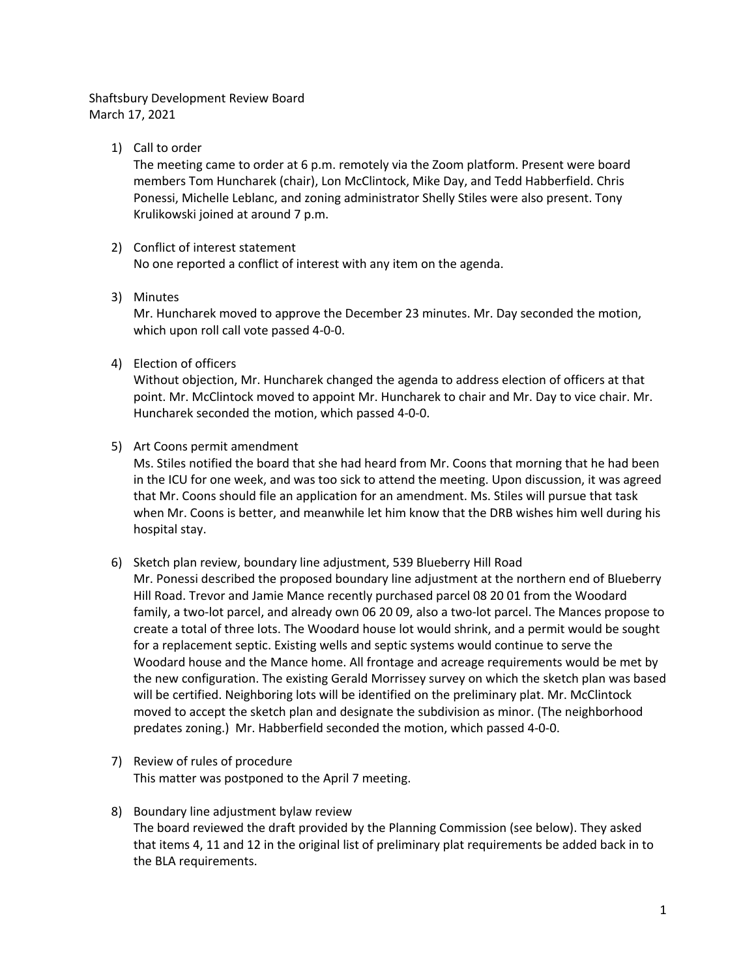# Shaftsbury Development Review Board March 17, 2021

1) Call to order

The meeting came to order at 6 p.m. remotely via the Zoom platform. Present were board members Tom Huncharek (chair), Lon McClintock, Mike Day, and Tedd Habberfield. Chris Ponessi, Michelle Leblanc, and zoning administrator Shelly Stiles were also present. Tony Krulikowski joined at around 7 p.m.

2) Conflict of interest statement

No one reported a conflict of interest with any item on the agenda.

3) Minutes

Mr. Huncharek moved to approve the December 23 minutes. Mr. Day seconded the motion, which upon roll call vote passed 4-0-0.

4) Election of officers

Without objection, Mr. Huncharek changed the agenda to address election of officers at that point. Mr. McClintock moved to appoint Mr. Huncharek to chair and Mr. Day to vice chair. Mr. Huncharek seconded the motion, which passed 4-0-0.

5) Art Coons permit amendment

Ms. Stiles notified the board that she had heard from Mr. Coons that morning that he had been in the ICU for one week, and was too sick to attend the meeting. Upon discussion, it was agreed that Mr. Coons should file an application for an amendment. Ms. Stiles will pursue that task when Mr. Coons is better, and meanwhile let him know that the DRB wishes him well during his hospital stay.

- 6) Sketch plan review, boundary line adjustment, 539 Blueberry Hill Road Mr. Ponessi described the proposed boundary line adjustment at the northern end of Blueberry Hill Road. Trevor and Jamie Mance recently purchased parcel 08 20 01 from the Woodard family, a two-lot parcel, and already own 06 20 09, also a two-lot parcel. The Mances propose to create a total of three lots. The Woodard house lot would shrink, and a permit would be sought for a replacement septic. Existing wells and septic systems would continue to serve the Woodard house and the Mance home. All frontage and acreage requirements would be met by the new configuration. The existing Gerald Morrissey survey on which the sketch plan was based will be certified. Neighboring lots will be identified on the preliminary plat. Mr. McClintock moved to accept the sketch plan and designate the subdivision as minor. (The neighborhood predates zoning.) Mr. Habberfield seconded the motion, which passed 4-0-0.
- 7) Review of rules of procedure This matter was postponed to the April 7 meeting.
- 8) Boundary line adjustment bylaw review The board reviewed the draft provided by the Planning Commission (see below). They asked that items 4, 11 and 12 in the original list of preliminary plat requirements be added back in to the BLA requirements.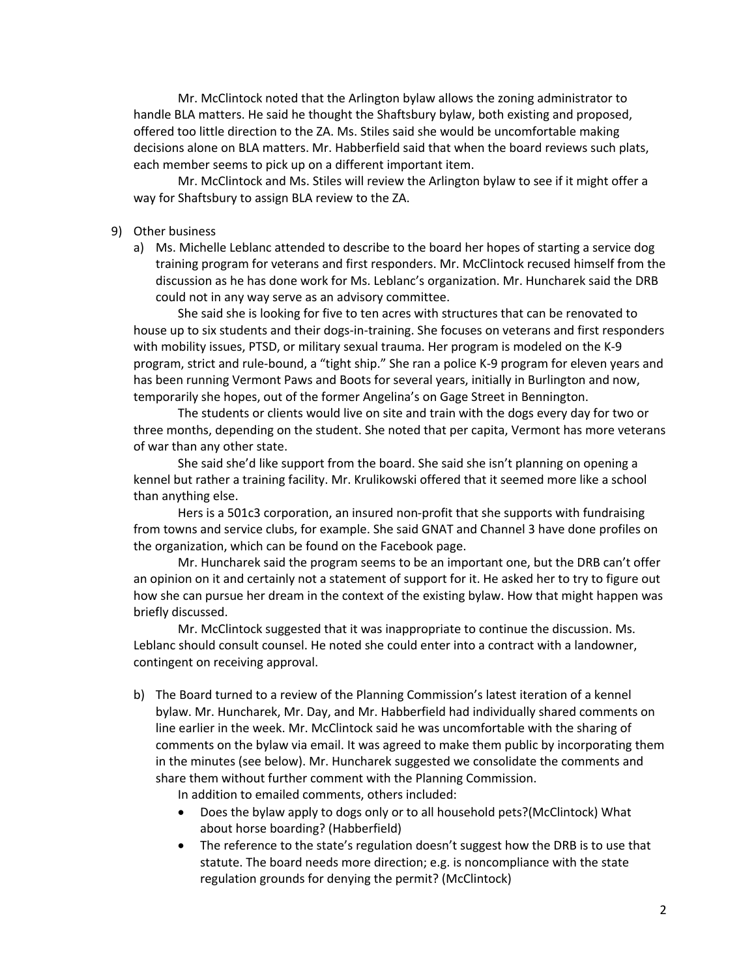Mr. McClintock noted that the Arlington bylaw allows the zoning administrator to handle BLA matters. He said he thought the Shaftsbury bylaw, both existing and proposed, offered too little direction to the ZA. Ms. Stiles said she would be uncomfortable making decisions alone on BLA matters. Mr. Habberfield said that when the board reviews such plats, each member seems to pick up on a different important item.

Mr. McClintock and Ms. Stiles will review the Arlington bylaw to see if it might offer a way for Shaftsbury to assign BLA review to the ZA.

#### 9) Other business

a) Ms. Michelle Leblanc attended to describe to the board her hopes of starting a service dog training program for veterans and first responders. Mr. McClintock recused himself from the discussion as he has done work for Ms. Leblanc's organization. Mr. Huncharek said the DRB could not in any way serve as an advisory committee.

She said she is looking for five to ten acres with structures that can be renovated to house up to six students and their dogs-in-training. She focuses on veterans and first responders with mobility issues, PTSD, or military sexual trauma. Her program is modeled on the K-9 program, strict and rule-bound, a "tight ship." She ran a police K-9 program for eleven years and has been running Vermont Paws and Boots for several years, initially in Burlington and now, temporarily she hopes, out of the former Angelina's on Gage Street in Bennington.

The students or clients would live on site and train with the dogs every day for two or three months, depending on the student. She noted that per capita, Vermont has more veterans of war than any other state.

She said she'd like support from the board. She said she isn't planning on opening a kennel but rather a training facility. Mr. Krulikowski offered that it seemed more like a school than anything else.

Hers is a 501c3 corporation, an insured non-profit that she supports with fundraising from towns and service clubs, for example. She said GNAT and Channel 3 have done profiles on the organization, which can be found on the Facebook page.

Mr. Huncharek said the program seems to be an important one, but the DRB can't offer an opinion on it and certainly not a statement of support for it. He asked her to try to figure out how she can pursue her dream in the context of the existing bylaw. How that might happen was briefly discussed.

Mr. McClintock suggested that it was inappropriate to continue the discussion. Ms. Leblanc should consult counsel. He noted she could enter into a contract with a landowner, contingent on receiving approval.

b) The Board turned to a review of the Planning Commission's latest iteration of a kennel bylaw. Mr. Huncharek, Mr. Day, and Mr. Habberfield had individually shared comments on line earlier in the week. Mr. McClintock said he was uncomfortable with the sharing of comments on the bylaw via email. It was agreed to make them public by incorporating them in the minutes (see below). Mr. Huncharek suggested we consolidate the comments and share them without further comment with the Planning Commission.

In addition to emailed comments, others included:

- Does the bylaw apply to dogs only or to all household pets?(McClintock) What about horse boarding? (Habberfield)
- The reference to the state's regulation doesn't suggest how the DRB is to use that statute. The board needs more direction; e.g. is noncompliance with the state regulation grounds for denying the permit? (McClintock)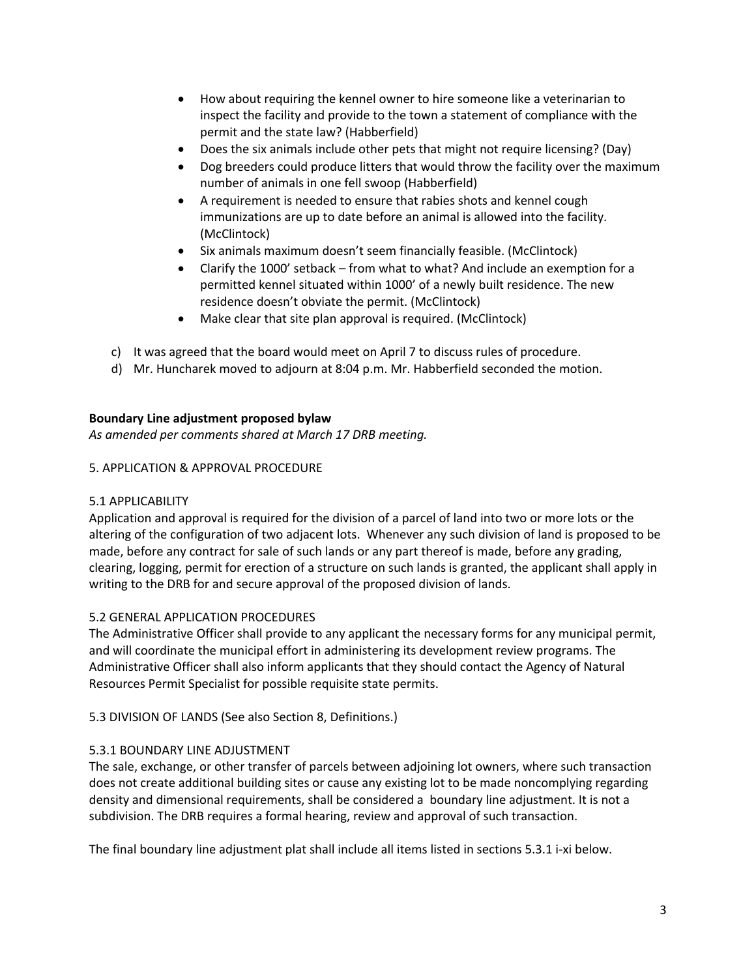- How about requiring the kennel owner to hire someone like a veterinarian to inspect the facility and provide to the town a statement of compliance with the permit and the state law? (Habberfield)
- Does the six animals include other pets that might not require licensing? (Day)
- Dog breeders could produce litters that would throw the facility over the maximum number of animals in one fell swoop (Habberfield)
- A requirement is needed to ensure that rabies shots and kennel cough immunizations are up to date before an animal is allowed into the facility. (McClintock)
- Six animals maximum doesn't seem financially feasible. (McClintock)
- Clarify the 1000' setback from what to what? And include an exemption for a permitted kennel situated within 1000' of a newly built residence. The new residence doesn't obviate the permit. (McClintock)
- Make clear that site plan approval is required. (McClintock)
- c) It was agreed that the board would meet on April 7 to discuss rules of procedure.
- d) Mr. Huncharek moved to adjourn at 8:04 p.m. Mr. Habberfield seconded the motion.

### **Boundary Line adjustment proposed bylaw**

*As amended per comments shared at March 17 DRB meeting.*

### 5. APPLICATION & APPROVAL PROCEDURE

### 5.1 APPLICABILITY

Application and approval is required for the division of a parcel of land into two or more lots or the altering of the configuration of two adjacent lots. Whenever any such division of land is proposed to be made, before any contract for sale of such lands or any part thereof is made, before any grading, clearing, logging, permit for erection of a structure on such lands is granted, the applicant shall apply in writing to the DRB for and secure approval of the proposed division of lands.

# 5.2 GENERAL APPLICATION PROCEDURES

The Administrative Officer shall provide to any applicant the necessary forms for any municipal permit, and will coordinate the municipal effort in administering its development review programs. The Administrative Officer shall also inform applicants that they should contact the Agency of Natural Resources Permit Specialist for possible requisite state permits.

5.3 DIVISION OF LANDS (See also Section 8, Definitions.)

### 5.3.1 BOUNDARY LINE ADJUSTMENT

The sale, exchange, or other transfer of parcels between adjoining lot owners, where such transaction does not create additional building sites or cause any existing lot to be made noncomplying regarding density and dimensional requirements, shall be considered a boundary line adjustment. It is not a subdivision. The DRB requires a formal hearing, review and approval of such transaction.

The final boundary line adjustment plat shall include all items listed in sections 5.3.1 i-xi below.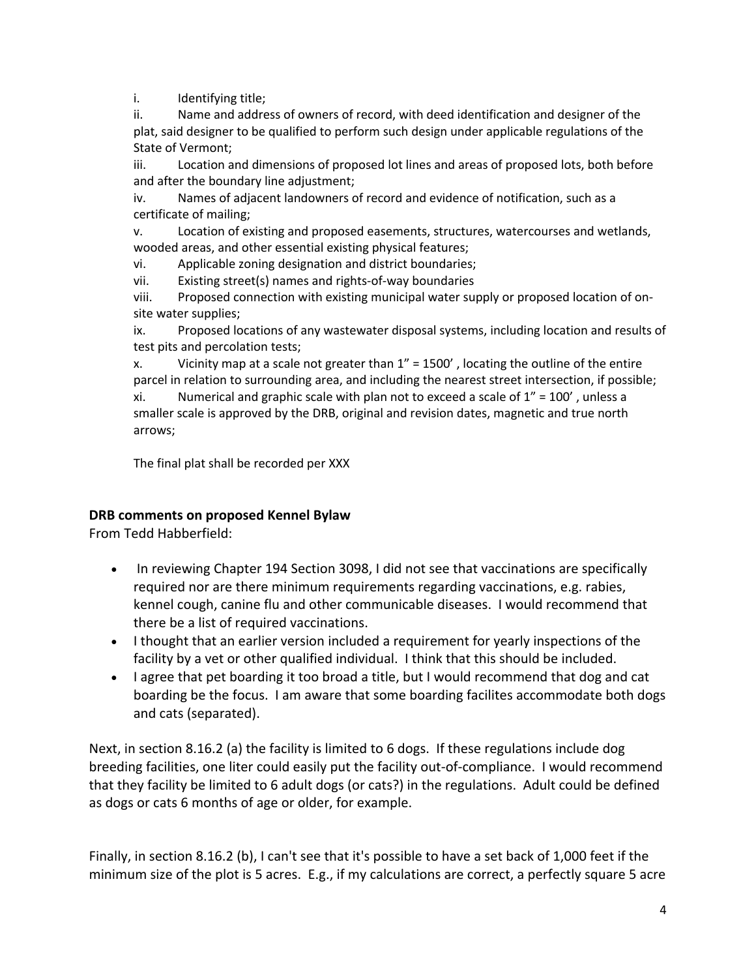i. Identifying title;

ii. Name and address of owners of record, with deed identification and designer of the plat, said designer to be qualified to perform such design under applicable regulations of the State of Vermont;

iii. Location and dimensions of proposed lot lines and areas of proposed lots, both before and after the boundary line adjustment;

iv. Names of adjacent landowners of record and evidence of notification, such as a certificate of mailing;

v. Location of existing and proposed easements, structures, watercourses and wetlands, wooded areas, and other essential existing physical features;

vi. Applicable zoning designation and district boundaries;

vii. Existing street(s) names and rights-of-way boundaries

viii. Proposed connection with existing municipal water supply or proposed location of onsite water supplies;

ix. Proposed locations of any wastewater disposal systems, including location and results of test pits and percolation tests;

x. Vicinity map at a scale not greater than  $1'' = 1500'$ , locating the outline of the entire parcel in relation to surrounding area, and including the nearest street intersection, if possible;

xi. Numerical and graphic scale with plan not to exceed a scale of  $1'' = 100'$ , unless a smaller scale is approved by the DRB, original and revision dates, magnetic and true north arrows;

The final plat shall be recorded per XXX

# **DRB comments on proposed Kennel Bylaw**

From Tedd Habberfield:

- In reviewing Chapter 194 Section 3098, I did not see that vaccinations are specifically required nor are there minimum requirements regarding vaccinations, e.g. rabies, kennel cough, canine flu and other communicable diseases. I would recommend that there be a list of required vaccinations.
- I thought that an earlier version included a requirement for yearly inspections of the facility by a vet or other qualified individual. I think that this should be included.
- I agree that pet boarding it too broad a title, but I would recommend that dog and cat boarding be the focus. I am aware that some boarding facilites accommodate both dogs and cats (separated).

Next, in section 8.16.2 (a) the facility is limited to 6 dogs. If these regulations include dog breeding facilities, one liter could easily put the facility out-of-compliance. I would recommend that they facility be limited to 6 adult dogs (or cats?) in the regulations. Adult could be defined as dogs or cats 6 months of age or older, for example.

Finally, in section 8.16.2 (b), I can't see that it's possible to have a set back of 1,000 feet if the minimum size of the plot is 5 acres. E.g., if my calculations are correct, a perfectly square 5 acre